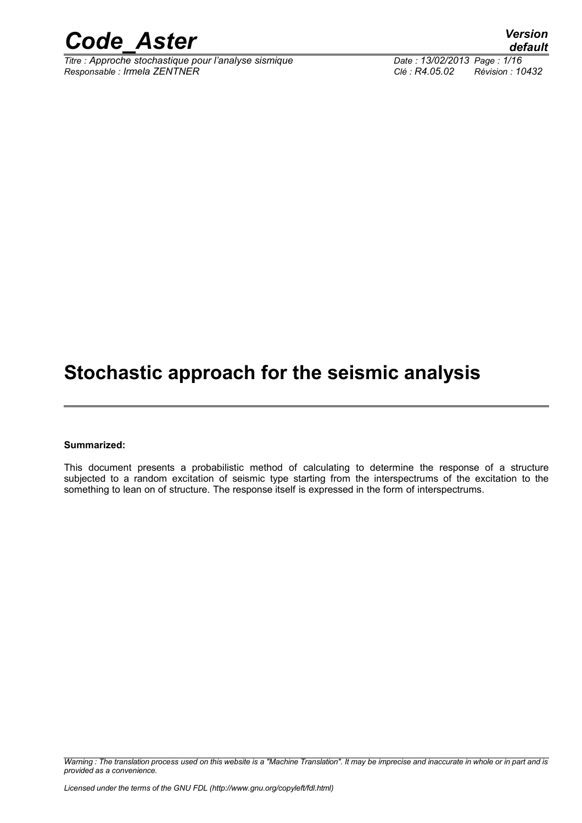

*Titre : Approche stochastique pour l'analyse sismique Date : 13/02/2013 Page : 1/16 Responsable : Irmela ZENTNER Clé : R4.05.02 Révision : 10432*

*default*

### **Stochastic approach for the seismic analysis**

#### **Summarized:**

This document presents a probabilistic method of calculating to determine the response of a structure subjected to a random excitation of seismic type starting from the interspectrums of the excitation to the something to lean on of structure. The response itself is expressed in the form of interspectrums.

*Warning : The translation process used on this website is a "Machine Translation". It may be imprecise and inaccurate in whole or in part and is provided as a convenience.*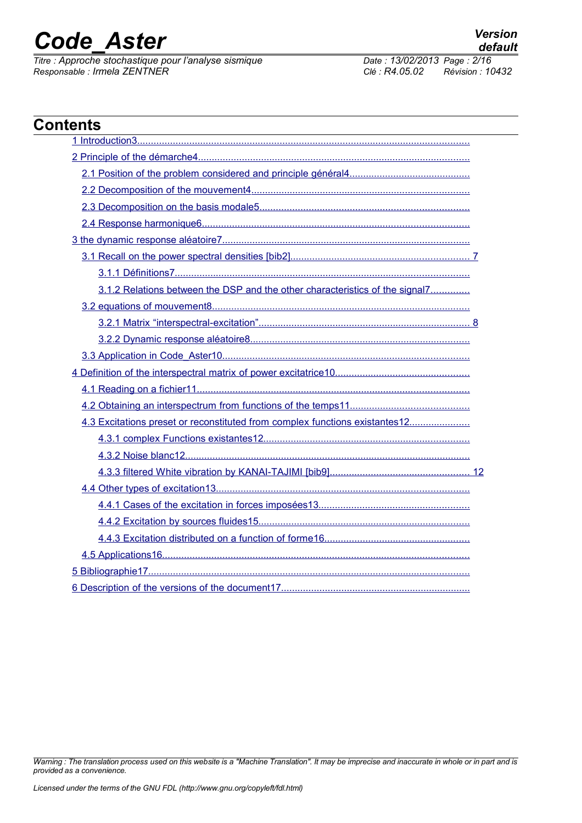*Titre : Approche stochastique pour l'analyse sismique Date : 13/02/2013 Page : 2/16 Responsable : Irmela ZENTNER Clé : R4.05.02 Révision : 10432*

| <b>Contents</b>                                                              |  |
|------------------------------------------------------------------------------|--|
|                                                                              |  |
|                                                                              |  |
|                                                                              |  |
|                                                                              |  |
|                                                                              |  |
|                                                                              |  |
|                                                                              |  |
|                                                                              |  |
|                                                                              |  |
| 3.1.2 Relations between the DSP and the other characteristics of the signal7 |  |
|                                                                              |  |
|                                                                              |  |
|                                                                              |  |
|                                                                              |  |
|                                                                              |  |
|                                                                              |  |
|                                                                              |  |
| 4.3 Excitations preset or reconstituted from complex functions existantes12  |  |
|                                                                              |  |
|                                                                              |  |
|                                                                              |  |
|                                                                              |  |
|                                                                              |  |
|                                                                              |  |
|                                                                              |  |
|                                                                              |  |
|                                                                              |  |
|                                                                              |  |

*Warning : The translation process used on this website is a "Machine Translation". It may be imprecise and inaccurate in whole or in part and is provided as a convenience.*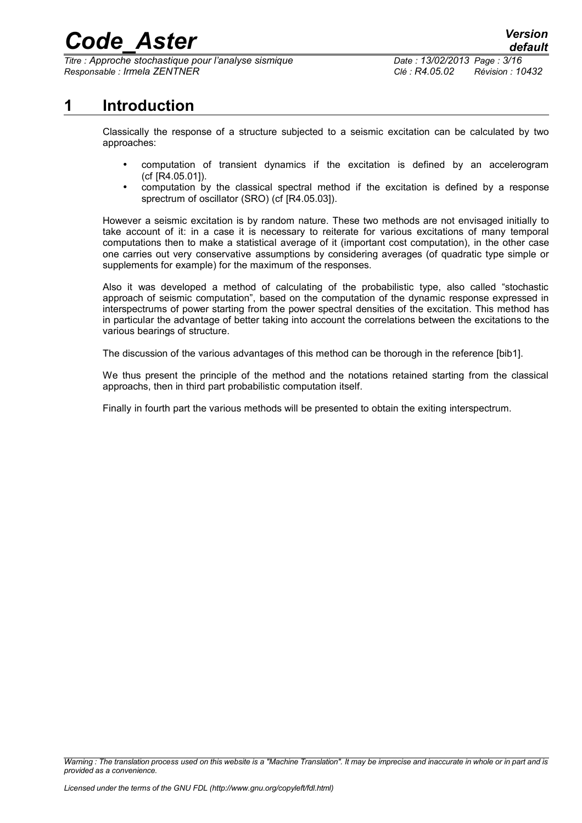*Titre : Approche stochastique pour l'analyse sismique Date : 13/02/2013 Page : 3/16 Responsable : Irmela ZENTNER Clé : R4.05.02 Révision : 10432*

*default*

### **1 Introduction**

<span id="page-2-0"></span>Classically the response of a structure subjected to a seismic excitation can be calculated by two approaches:

- computation of transient dynamics if the excitation is defined by an accelerogram (cf [R4.05.01]).
- computation by the classical spectral method if the excitation is defined by a response sprectrum of oscillator (SRO) (cf [R4.05.03]).

However a seismic excitation is by random nature. These two methods are not envisaged initially to take account of it: in a case it is necessary to reiterate for various excitations of many temporal computations then to make a statistical average of it (important cost computation), in the other case one carries out very conservative assumptions by considering averages (of quadratic type simple or supplements for example) for the maximum of the responses.

Also it was developed a method of calculating of the probabilistic type, also called "stochastic approach of seismic computation", based on the computation of the dynamic response expressed in interspectrums of power starting from the power spectral densities of the excitation. This method has in particular the advantage of better taking into account the correlations between the excitations to the various bearings of structure.

The discussion of the various advantages of this method can be thorough in the reference [bib1].

We thus present the principle of the method and the notations retained starting from the classical approachs, then in third part probabilistic computation itself.

Finally in fourth part the various methods will be presented to obtain the exiting interspectrum.

*Warning : The translation process used on this website is a "Machine Translation". It may be imprecise and inaccurate in whole or in part and is provided as a convenience.*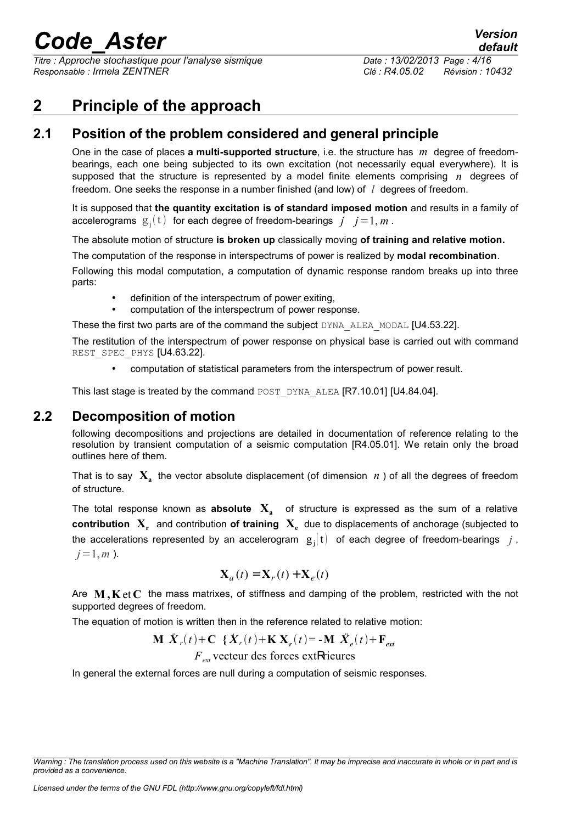*Titre : Approche stochastique pour l'analyse sismique Date : 13/02/2013 Page : 4/16 Responsable : Irmela ZENTNER Clé : R4.05.02 Révision : 10432*

### <span id="page-3-2"></span>**2 Principle of the approach**

### **2.1 Position of the problem considered and general principle**

<span id="page-3-1"></span>One in the case of places **a multi-supported structure**, i.e. the structure has *m* degree of freedombearings, each one being subjected to its own excitation (not necessarily equal everywhere). It is supposed that the structure is represented by a model finite elements comprising *n* degrees of freedom. One seeks the response in a number finished (and low) of *l* degrees of freedom.

It is supposed that **the quantity excitation is of standard imposed motion** and results in a family of accelerograms  $g_j(t)$  for each degree of freedom-bearings  $j$   $j = 1, m$ .

The absolute motion of structure **is broken up** classically moving **of training and relative motion.**

The computation of the response in interspectrums of power is realized by **modal recombination**.

Following this modal computation, a computation of dynamic response random breaks up into three parts:

- definition of the interspectrum of power exiting,
- computation of the interspectrum of power response.

These the first two parts are of the command the subject DYNA\_ALEA\_MODAL [U4.53.22].

The restitution of the interspectrum of power response on physical base is carried out with command REST SPEC PHYS [U4.63.22].

• computation of statistical parameters from the interspectrum of power result.

This last stage is treated by the command POST\_DYNA\_ALEA [R7.10.01] [U4.84.04].

### **2.2 Decomposition of motion**

<span id="page-3-0"></span>following decompositions and projections are detailed in documentation of reference relating to the resolution by transient computation of a seismic computation [R4.05.01]. We retain only the broad outlines here of them.

That is to say  $\mathbf{X}_{\mathbf{a}}$  the vector absolute displacement (of dimension  $n$  ) of all the degrees of freedom of structure.

The total response known as **absolute X<sup>a</sup>** of structure is expressed as the sum of a relative **contribution X<sup>r</sup>** and contribution **of training X<sup>e</sup>** due to displacements of anchorage (subjected to the accelerations represented by an accelerogram  $|g_j(t)|$  of each degree of freedom-bearings  $|j|$ ,  $j=1,m$ ).

$$
\mathbf{X}_a(t) = \mathbf{X}_r(t) + \mathbf{X}_e(t)
$$

Are **M ,K** et **C** the mass matrixes, of stiffness and damping of the problem, restricted with the not supported degrees of freedom.

The equation of motion is written then in the reference related to relative motion:

$$
\mathbf{M} \; \ddot{\mathbf{X}}_r(t) + \mathbf{C} \; \{ \dot{\mathbf{X}}_r(t) + \mathbf{K} \; \mathbf{X}_r(t) = -\mathbf{M} \; \ddot{\mathbf{X}}_e(t) + \mathbf{F}_{ext}
$$

*Fext* vecteur des forces extRrieures

In general the external forces are null during a computation of seismic responses.

*Warning : The translation process used on this website is a "Machine Translation". It may be imprecise and inaccurate in whole or in part and is provided as a convenience.*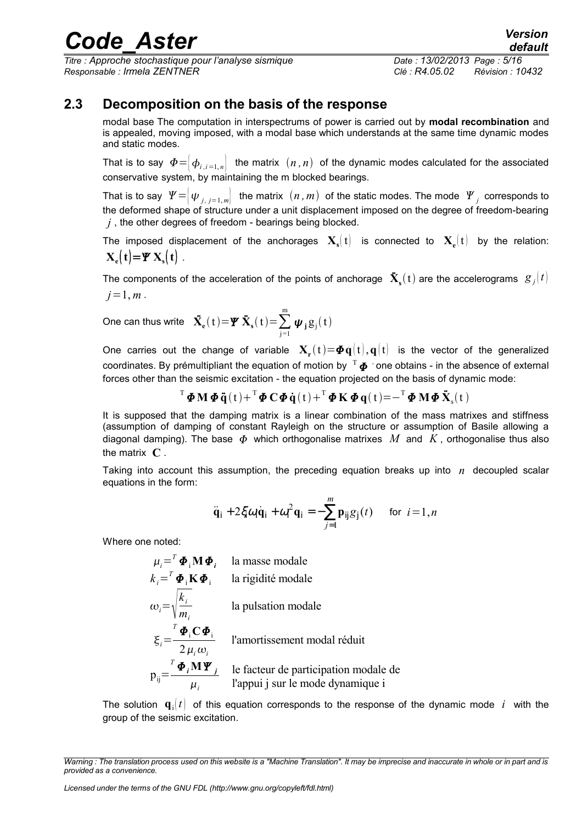*Titre : Approche stochastique pour l'analyse sismique Date : 13/02/2013 Page : 5/16 Responsable : Irmela ZENTNER Clé : R4.05.02 Révision : 10432*

*default*

### **2.3 Decomposition on the basis of the response**

<span id="page-4-0"></span>modal base The computation in interspectrums of power is carried out by **modal recombination** and is appealed, moving imposed, with a modal base which understands at the same time dynamic modes and static modes.

That is to say  $\Phi = \left|\phi_{i,i=1,n}\right|$  the matrix  $(n,n)$  of the dynamic modes calculated for the associated conservative system, by maintaining the m blocked bearings.

That is to say  $\left. \varPsi =\right\vert \psi _{j,\;j=1,m}\right\vert \;$  the matrix  $\;(n,m)\;$  of the static modes. The mode  $\;\mathscr{Y}_{j}\;$  corresponds to the deformed shape of structure under a unit displacement imposed on the degree of freedom-bearing *j* , the other degrees of freedom - bearings being blocked.

The imposed displacement of the anchorages  $\mathbf{X}_s(t)$  is connected to  $\mathbf{X}_e(t)$  by the relation:  $\mathbf{X}_{e}(\mathbf{t}) = \mathbf{Y} \mathbf{X}_{s}(\mathbf{t})$ .

The components of the acceleration of the points of anchorage  $\ddot{\textbf{X}}_{\textbf{s}}(\textbf{t})$  are the accelerograms  $\;g_{\,j}^{}(t)\;$  $j=1, m$ .

One can thus write  $\ddot{\mathbf{X}}_{\mathbf{e}}(\mathbf{t}) \!=\! \mathbf{\mathbf{\boldsymbol{\Psi}}} \ddot{\mathbf{X}}_{\mathbf{s}}(\mathbf{t}) \!=\! \sum_{\mathbf{j}=\mathbf{1}}% \left(\begin{bmatrix} \dot{\mathbf{I}}% \end{bmatrix}\right) \left(\begin{bmatrix} \dot{\mathbf{I}}% \end{bmatrix}\right) \left(\begin{bmatrix} \dot{\mathbf{I}}% \end{bmatrix}\right) \left(\begin{bmatrix} \dot{\mathbf{I}}% \end{bmatrix}\right) \left(\begin{bmatrix} \dot{\mathbf{I}}% \end{bmatrix}\$ m  $\boldsymbol{\psi}_j g_j(t)$ 

One carries out the change of variable  $\mathbf{X}_\mathbf{r}(t) = \boldsymbol{\varPhi} \mathbf{q}(t), \mathbf{q}(t)$  is the vector of the generalized coordinates. By prémultipliant the equation of motion by  $^{\mathrm{T}}{\bm\varPhi}$  ' one obtains - in the absence of external forces other than the seismic excitation - the equation projected on the basis of dynamic mode:

 $\mathbf{T} \boldsymbol{\Phi} \mathbf{M} \boldsymbol{\Phi} \ddot{\mathbf{q}}(t) + \mathbf{T} \boldsymbol{\Phi} \mathbf{C} \boldsymbol{\Phi} \dot{\mathbf{q}}(t) + \mathbf{T} \boldsymbol{\Phi} \mathbf{K} \boldsymbol{\Phi} \mathbf{q}(t) = -\mathbf{T} \boldsymbol{\Phi} \mathbf{M} \boldsymbol{\Phi} \ddot{\mathbf{X}}_{\mathrm{s}}(t)$ 

It is supposed that the damping matrix is a linear combination of the mass matrixes and stiffness (assumption of damping of constant Rayleigh on the structure or assumption of Basile allowing a diagonal damping). The base  $\Phi$  which orthogonalise matrixes M and K, orthogonalise thus also the matrix **C** .

Taking into account this assumption, the preceding equation breaks up into *n* decoupled scalar equations in the form:

$$
\ddot{\mathbf{q}}_i + 2\xi \omega_i \dot{\mathbf{q}}_i + \omega_i^2 \mathbf{q}_i = -\sum_{j=1}^m \mathbf{p}_{ij} g_j(t) \quad \text{for } i = 1, n
$$

Where one noted:

 $\mu_{i}$ =<sup>*T*</sup>  $\boldsymbol{\Phi}_{i}$  **M**  $\boldsymbol{\Phi}_{i}$  la masse modale  $k_i = T \boldsymbol{\Phi}_i \mathbf{K} \boldsymbol{\Phi}_i$  la rigidité modale  $\omega_i = \sqrt{\frac{n_i}{m_i}}$ *ki mi* la pulsation modale  $\xi_i=$  $^{T}\boldsymbol{\varPhi}_{\textrm{i}}\mathbf{C}\boldsymbol{\varPhi}_{\textrm{i}}$  $2\,\mu_i\omega_i$ l'amortissement modal réduit  $p_{ij}$ =  $^{T}\boldsymbol{\varPhi}_{i}\mathbf{M}\boldsymbol{\varPsi}_{j}$  $\mu$ <sub>*i*</sub> le facteur de participation modale de l'appui j sur le mode dynamique i

The solution  $\mathbf{q}$ ,  $\mathbf{t}$  of this equation corresponds to the response of the dynamic mode *i* with the group of the seismic excitation.

*Warning : The translation process used on this website is a "Machine Translation". It may be imprecise and inaccurate in whole or in part and is provided as a convenience.*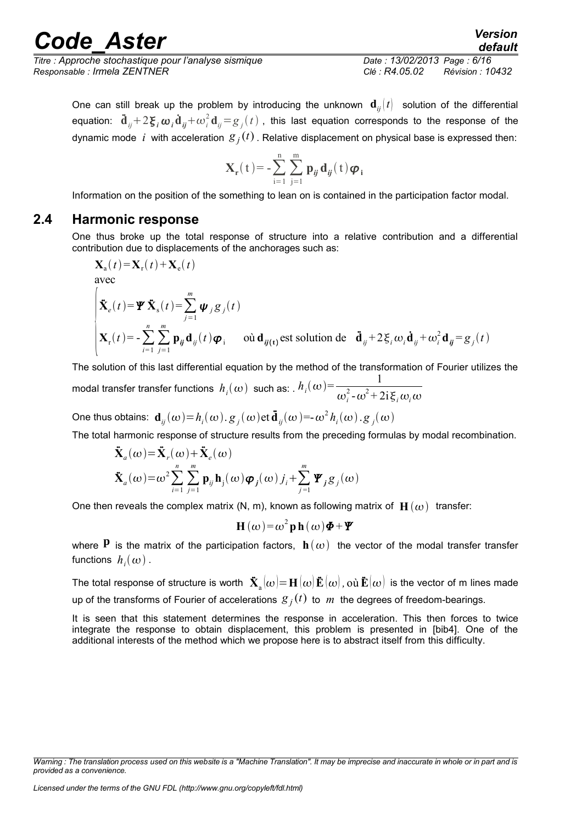*Titre : Approche stochastique pour l'analyse sismique Date : 13/02/2013 Page : 6/16 Responsable : Irmela ZENTNER Clé : R4.05.02 Révision : 10432*

*default*

One can still break up the problem by introducing the unknown  $\mathbf{d}_{ii}(t)$  solution of the differential equation:  ${\bf \ddot{d}}_{ij}+2{\bf \boldsymbol{\xi}}_i\boldsymbol{\omega}_i{\bf \dot{d}}_{ij}+\omega_i^2{\bf d}_{ij}\!=\!g_j(t)$  , this last equation corresponds to the response of the dynamic mode  $~i~$  with acceleration  $\,{g}_{j}(t)$  . Relative displacement on physical base is expressed then:

$$
\mathbf{X}_{\mathbf{r}}(t) = -\sum_{i=1}^{n} \sum_{j=1}^{m} \mathbf{p}_{ij} \mathbf{d}_{ij}(t) \boldsymbol{\varphi}_{i}
$$

Information on the position of the something to lean on is contained in the participation factor modal.

### **2.4 Harmonic response**

<span id="page-5-0"></span>One thus broke up the total response of structure into a relative contribution and a differential contribution due to displacements of the anchorages such as:

$$
\mathbf{X}_{\mathbf{a}}(t) = \mathbf{X}_{\mathbf{r}}(t) + \mathbf{X}_{\mathbf{e}}(t)
$$

avec

$$
\begin{cases}\n\dot{\mathbf{X}}_{e}(t) = \mathbf{\Psi} \, \dot{\mathbf{X}}_{s}(t) = \sum_{j=1}^{m} \boldsymbol{\psi}_{j} \mathbf{g}_{j}(t) \\
\mathbf{X}_{r}(t) = -\sum_{i=1}^{n} \sum_{j=1}^{m} \mathbf{p}_{ij} \mathbf{d}_{ij}(t) \boldsymbol{\varphi}_{i} \quad \text{ot } \mathbf{d}_{ij(t)} \text{est solution de } \ddot{\mathbf{d}}_{ij} + 2 \boldsymbol{\xi}_{i} \boldsymbol{\omega}_{i} \dot{\mathbf{d}}_{ij} + \boldsymbol{\omega}_{i}^{2} \mathbf{d}_{ij} = \mathbf{g}_{j}(t)\n\end{cases}
$$

The solution of this last differential equation by the method of the transformation of Fourier utilizes the modal transfer transfer functions  $h_i(\omega)$  such as: .  $h_i(\omega) = \frac{1}{\omega^2 \omega^2 + 1}$  $\omega_i^2$ - $\omega^2$ +2i $\xi_i \omega_i \omega$ 

One thus obtains:  $\mathbf{d}_{ij}(\omega) = h_i(\omega)$ .  $g_j(\omega)$ et  $\mathbf{\ddot{d}}_{ij}(\omega) = -\omega^2 h_i(\omega)$ .  $g_j(\omega)$ 

The total harmonic response of structure results from the preceding formulas by modal recombination.

$$
\ddot{\mathbf{X}}_a(\omega) = \ddot{\mathbf{X}}_r(\omega) + \ddot{\mathbf{X}}_e(\omega)
$$
\n
$$
\ddot{\mathbf{X}}_a(\omega) = \omega^2 \sum_{i=1}^n \sum_{j=1}^m \mathbf{p}_{ij} \mathbf{h}_j(\omega) \boldsymbol{\varphi}_j(\omega) j_i + \sum_{j=1}^m \boldsymbol{\varPsi}_j g_j(\omega)
$$

One then reveals the complex matrix  $(N, m)$ , known as following matrix of  $H(\omega)$  transfer:

$$
\mathbf{H}\left(\omega\right) = \omega^2 \mathbf{p} \mathbf{h}\left(\omega\right) \boldsymbol{\Phi} + \boldsymbol{\varPsi}
$$

where  $P$  is the matrix of the participation factors,  $h(\omega)$  the vector of the modal transfer transfer functions  $h_i(\omega)$  .

The total response of structure is worth  $\bf{\ddot{X}}_a(\omega)$   $=$   $\bf{H}(\omega)\bf{\ddot{E}}(\omega)$  ,  $\rm{ou\,\ddot{E}}(\omega)$  is the vector of m lines made up of the transforms of Fourier of accelerations  $g_j(t)$  to  $m$  the degrees of freedom-bearings.

It is seen that this statement determines the response in acceleration. This then forces to twice integrate the response to obtain displacement, this problem is presented in [bib4]. One of the additional interests of the method which we propose here is to abstract itself from this difficulty.

*Warning : The translation process used on this website is a "Machine Translation". It may be imprecise and inaccurate in whole or in part and is provided as a convenience.*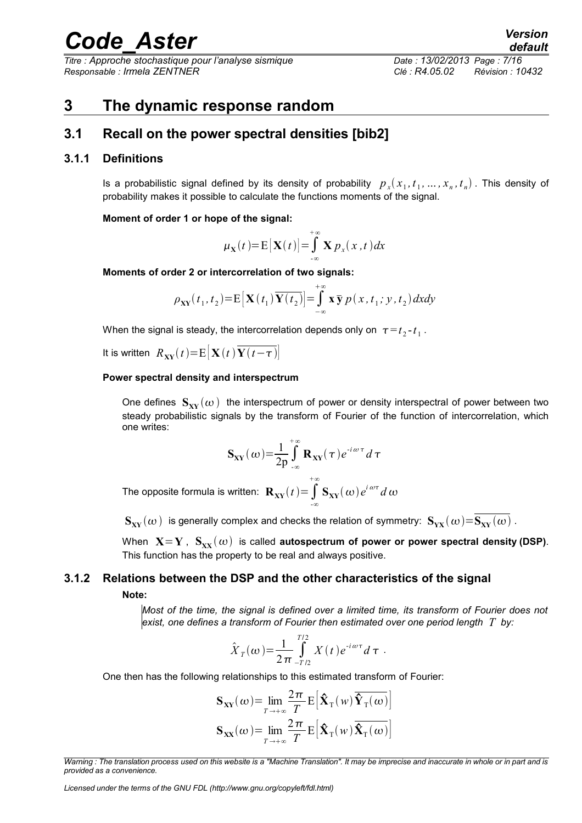*Titre : Approche stochastique pour l'analyse sismique Date : 13/02/2013 Page : 7/16 Responsable : Irmela ZENTNER Clé : R4.05.02 Révision : 10432*

### <span id="page-6-3"></span>**3 The dynamic response random**

### <span id="page-6-2"></span>**3.1 Recall on the power spectral densities [bib2]**

#### **3.1.1 Definitions**

<span id="page-6-1"></span>Is a probabilistic signal defined by its density of probability  $p_{x}(x_1,t_1,...,x_n,t_n)$  . This density of probability makes it possible to calculate the functions moments of the signal.

#### **Moment of order 1 or hope of the signal:**

$$
\mu_{\mathbf{X}}(t) = \mathbf{E}[\mathbf{X}(t)] = \int_{-\infty}^{+\infty} \mathbf{X} p_{x}(x, t) dx
$$

**Moments of order 2 or intercorrelation of two signals:**

$$
\rho_{XY}(t_1, t_2) = E\big[\mathbf{X}(t_1) \overline{\mathbf{Y}(t_2)}\big] = \int_{-\infty}^{+\infty} \mathbf{x} \, \overline{\mathbf{y}} \, p\big(x, t_1; y, t_2\big) \, dx \, dy
$$

When the signal is steady, the intercorrelation depends only on  $\tau \!=\! t_{2} \!$ - $\!t_{1}$  .

It is written  $R_{\text{XY}}(t) = E[X(t|\overline{Y(t-\tau)}])$ 

#### **Power spectral density and interspectrum**

One defines  $S_{xx}(\omega)$  the interspectrum of power or density interspectral of power between two steady probabilistic signals by the transform of Fourier of the function of intercorrelation, which one writes:

$$
\mathbf{S}_{\mathbf{X}\mathbf{Y}}(\omega) = \frac{1}{2p} \int_{-\infty}^{+\infty} \mathbf{R}_{\mathbf{X}\mathbf{Y}}(\tau) e^{-i\omega\tau} d\tau
$$

The opposite formula is written:  $\mathbf{R}_{\mathbf{X}\mathbf{Y}}(t)$  =  $\int\limits_{-\infty}$ +∞  $\mathbf{S}_{\mathbf{X}\mathbf{Y}}(\omega)e^{i\omega\tau}d\omega$ 

 $\mathbf{S}_{\mathbf{X}\mathbf{Y}}(\omega)$  is generally complex and checks the relation of symmetry:  $\mathbf{S}_{\mathbf{Y}\mathbf{X}}(\omega) = \overline{\mathbf{S}_{\mathbf{X}\mathbf{Y}}(\omega)}$ .

When  $X = Y$ ,  $S_{XX}(\omega)$  is called **autospectrum of power or power spectral density (DSP).** This function has the property to be real and always positive.

### **3.1.2 Relations between the DSP and the other characteristics of the signal**

#### <span id="page-6-0"></span>**Note:**

*Most of the time, the signal is defined over a limited time, its transform of Fourier does not exist, one defines a transform of Fourier then estimated over one period length T by:*

$$
\hat{X}_T(\omega) = \frac{1}{2\pi} \int_{-T/2}^{T/2} X(t) e^{-i\omega \tau} d\tau.
$$

One then has the following relationships to this estimated transform of Fourier:

$$
\mathbf{S}_{\mathbf{X}\mathbf{Y}}(\omega) = \lim_{T \to +\infty} \frac{2\pi}{T} \mathbf{E} \left[ \hat{\mathbf{X}}_{\mathrm{T}}(\omega) \overline{\hat{\mathbf{Y}}_{\mathrm{T}}(\omega)} \right]
$$

$$
\mathbf{S}_{\mathbf{X}\mathbf{X}}(\omega) = \lim_{T \to +\infty} \frac{2\pi}{T} \mathbf{E} \left[ \hat{\mathbf{X}}_{\mathrm{T}}(\omega) \overline{\hat{\mathbf{X}}_{\mathrm{T}}(\omega)} \right]
$$

*Warning : The translation process used on this website is a "Machine Translation". It may be imprecise and inaccurate in whole or in part and is provided as a convenience.*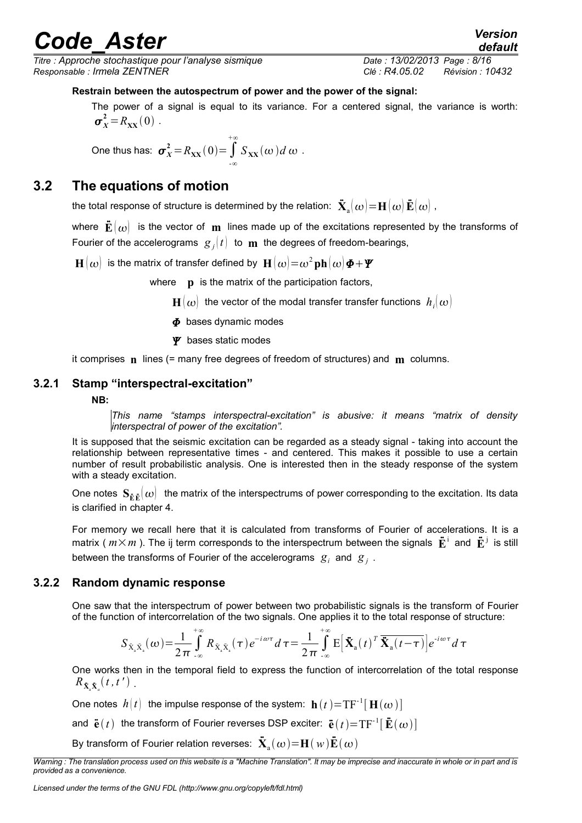*Titre : Approche stochastique pour l'analyse sismique Date : 13/02/2013 Page : 8/16 Responsable : Irmela ZENTNER Clé : R4.05.02 Révision : 10432*

*default*

### **Restrain between the autospectrum of power and the power of the signal:**

The power of a signal is equal to its variance. For a centered signal, the variance is worth:  $\sigma_X^2 = R_{XX}(0)$ .

One thus has: 
$$
\sigma_X^2 = R_{XX}(0) = \int_{-\infty}^{+\infty} S_{XX}(\omega) d\omega
$$
.

### **3.2 The equations of motion**

<span id="page-7-2"></span>the total response of structure is determined by the relation:  $\mathbf{\ddot{X}}_a(\omega) \!=\! \mathbf{H}(\omega)\,\mathbf{\ddot{E}}(\omega)$  ,

where  $\vec{E}(\omega)$  is the vector of **m** lines made up of the excitations represented by the transforms of Fourier of the accelerograms  $g_j(t)$  to  $\bf{m}$  the degrees of freedom-bearings,

 $\mathbf{H}(\boldsymbol{\omega})$  is the matrix of transfer defined by  $\mathbf{H}(\boldsymbol{\omega})\!=\!\boldsymbol{\omega}^2\mathbf{ph}(\boldsymbol{\omega})\boldsymbol{\varPhi}\!+\!\boldsymbol{\varPsi}$ 

where **p** is the matrix of the participation factors,

- $\mathbf{H}(\boldsymbol{\omega})$  the vector of the modal transfer transfer functions  $\left. h_{i}(\boldsymbol{\omega})\right\vert$
- $\Phi$  bases dynamic modes
- $\Psi$  bases static modes

<span id="page-7-1"></span>it comprises **n** lines (= many free degrees of freedom of structures) and **m** columns.

#### **3.2.1 Stamp "interspectral-excitation"**

#### **NB:**

*This name "stamps interspectral-excitation" is abusive: it means "matrix of density interspectral of power of the excitation".*

It is supposed that the seismic excitation can be regarded as a steady signal - taking into account the relationship between representative times - and centered. This makes it possible to use a certain number of result probabilistic analysis. One is interested then in the steady response of the system with a steady excitation.

One notes  $S_{\tilde{E},\tilde{E}}(\omega)$  the matrix of the interspectrums of power corresponding to the excitation. Its data is clarified in chapter 4.

For memory we recall here that it is calculated from transforms of Fourier of accelerations. It is a matrix (  $m \times m$  ). The ij term corresponds to the interspectrum between the signals  $\ddot{\bf E}^{\rm i}$  and  $\ddot{\bf E}^{\rm j}$  is still between the transforms of Fourier of the accelerograms  $|g_i|$  and  $|g_j|$ .

### **3.2.2 Random dynamic response**

<span id="page-7-0"></span>One saw that the interspectrum of power between two probabilistic signals is the transform of Fourier of the function of intercorrelation of the two signals. One applies it to the total response of structure:

$$
S_{\ddot{X}_a\ddot{X}_a}(\omega) = \frac{1}{2\pi} \int_{-\infty}^{+\infty} R_{\ddot{X}_a\ddot{X}_a}(\tau) e^{-i\omega \tau} d\tau = \frac{1}{2\pi} \int_{-\infty}^{+\infty} E\left[\ddot{X}_a(t)^T \ddot{X}_a(t-\tau)\right] e^{-i\omega \tau} d\tau
$$

One works then in the temporal field to express the function of intercorrelation of the total response  $R_{\tilde{\textbf{X}}_a\tilde{\textbf{X}}_a}(t,t^{\,\prime})$  .

One notes  $\ h(t)$  the impulse response of the system:  $\ \mathbf{h}\, (t\, )\! =\! {\rm TF}^{\text{-}1} [\, \mathbf{H}(\boldsymbol{\omega}\,) \, ]$ 

and  $\ddot{\textbf{e}}(t)$  the transform of Fourier reverses DSP exciter:  $\ddot{\textbf{e}}(t) {=} \text{TF}^{\text{-}1} [\, \ddot{\textbf{E}}(\omega) \, ]$ 

By transform of Fourier relation reverses:  $\mathbf{\ddot{X}}_a(\omega) \!=\! \mathbf{H}(\,w)\mathbf{\ddot{E}}(\,\omega)$ 

*Warning : The translation process used on this website is a "Machine Translation". It may be imprecise and inaccurate in whole or in part and is provided as a convenience.*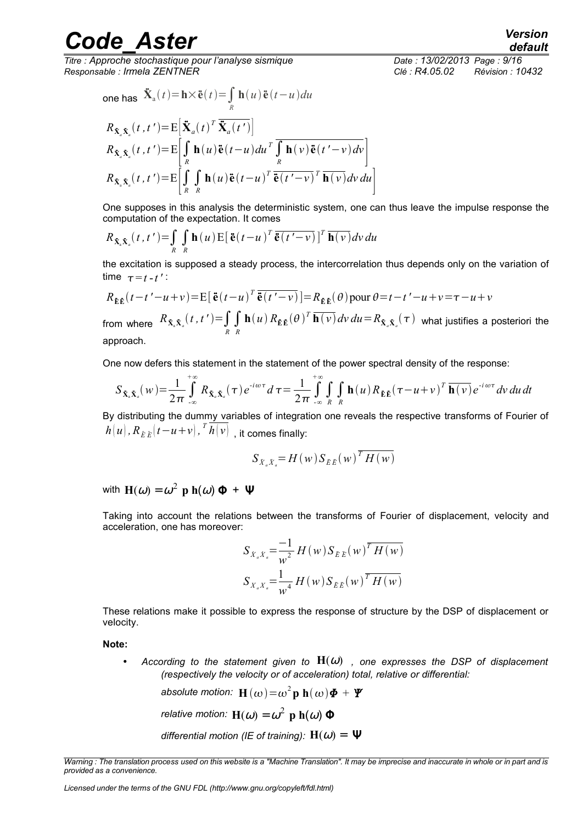*Titre : Approche stochastique pour l'analyse sismique Date : 13/02/2013 Page : 9/16 Responsable : Irmela ZENTNER Clé : R4.05.02 Révision : 10432*

one has  $\ddot{\mathbf{X}}_{\mathbf{a}}(t) = \mathbf{h} \times \ddot{\mathbf{e}}(t) = \int\limits_R$  $h(u)$ ë $(t-u)du$  $R_{\mathbf{\dot{X}}_a\mathbf{\dot{X}}_a}(t,t') = E\left[\mathbf{\ddot{X}}_a(t)^T \mathbf{\ddot{X}}_a(t')\right]$ *a*  $R_{\tilde{\mathbf{X}}_{a}\tilde{\mathbf{X}}_{a}}(t,t')=\mathrm{E}\left|\int\limits_{R}\mathbf{h}(u)\tilde{\mathbf{e}}(t-u)du^{T}\int\limits_{R}\mathbf{h}(v)\tilde{\mathbf{e}}(t'-v)dv\right|$  $R_{\tilde{\mathbf{X}}_a\tilde{\mathbf{X}}_a}(t,t')=\mathrm{E}\left|\int\limits_{R}\int\limits_{R}$  $\mathbf{h}(u)\mathbf{\ddot{e}}(t-u)^{T}\mathbf{\ddot{e}}(t'-v)^{T}\mathbf{h}(v)dv du$ 

One supposes in this analysis the deterministic system, one can thus leave the impulse response the computation of the expectation. It comes

$$
R_{\bar{\mathbf{X}}_{\mathbf{A}}\bar{\mathbf{X}}_{a}}(t, t') = \int_{R} \int_{R} \mathbf{h}(u) \mathbf{E} [\tilde{\mathbf{e}}(t-u)^{T} \overline{\tilde{\mathbf{e}}(t'-v)}]^{T} \overline{\mathbf{h}(v)} dv du
$$

the excitation is supposed a steady process, the intercorrelation thus depends only on the variation of time  $\tau = t - t'$ :

$$
R_{\tilde{\mathbf{E}}\tilde{\mathbf{E}}}(t-t'-u+v) = \mathbb{E}\big[\tilde{\mathbf{e}}(t-u)^T\overline{\tilde{\mathbf{e}}(t'-v)}\big] = R_{\tilde{\mathbf{E}}\tilde{\mathbf{E}}}(\theta) \text{ pour } \theta = t-t'-u+v = \tau-u+v
$$

from where  $R_{\tilde{\textbf{X}}_a \tilde{\textbf{X}}_a}(t, t') = \int\limits_R \int\limits_R$  $\mathbf{h}(u) R_{\tilde{\mathbf{E}} \tilde{\mathbf{E}}}(\theta)^T \overline{\mathbf{h}(v)} dv du {=} R_{\tilde{\mathbf{X}}_a \tilde{\mathbf{X}}_a}(\tau)$  what justifies a posteriori the approach.

One now defers this statement in the statement of the power spectral density of the response:

$$
S_{\tilde{\mathbf{X}}_{\alpha}\tilde{\mathbf{X}}_{a}}(w) = \frac{1}{2\pi} \int_{-\infty}^{+\infty} R_{\tilde{\mathbf{X}}_{a}\tilde{\mathbf{X}}_{a}}(\tau) e^{-i\omega\tau} d\tau = \frac{1}{2\pi} \int_{-\infty}^{+\infty} \int_{R} \mathbf{h}(u) R_{\tilde{\mathbf{E}}\tilde{\mathbf{E}}}(\tau - u + v)^{T} \overline{\mathbf{h}(v)} e^{-i\omega\tau} dv du dt
$$

By distributing the dummy variables of integration one reveals the respective transforms of Fourier of  $h(u)$  ,  $R_{E\,E}(t\!-\!u\!+\!v)$  ,  ${}^{T}\overline{h(v)}\,$  , it comes finally:

$$
S_{\ddot{X}_a\ddot{X}_a} = H(w) S_{\ddot{E}\ddot{E}}(w)^T H(w)
$$

with  $\mathbf{H}(\omega) = \omega^2 \, \, \mathbf{p} \, \, \mathbf{h}(\omega) \, \mathbf{\Phi} \, + \, \mathbf{\Psi}$ 

Taking into account the relations between the transforms of Fourier of displacement, velocity and acceleration, one has moreover:

$$
S_{X_a X_a} = \frac{-1}{w^2} H(w) S_{EE}(w)^T H(w)
$$
  

$$
S_{X_a X_a} = \frac{1}{w^4} H(w) S_{EE}(w)^T H(w)
$$

These relations make it possible to express the response of structure by the DSP of displacement or velocity.

**Note:**

According to the statement given to  $H(\omega)$  , one expresses the DSP of displacement *(respectively the velocity or of acceleration) total, relative or differential:*

absolute motion: 
$$
\mathbf{H}(\omega) = \omega^2 \mathbf{p} \mathbf{h}(\omega) \mathbf{\Phi} + \mathbf{\Psi}
$$

*relative motion:*  $\mathbf{H}(\omega) = \omega^2 \, \, \mathbf{p} \, \, \mathbf{h}(\omega) \, \boldsymbol{\Phi}$ 

*differential motion (IE of training):*  $H(\omega) = \Psi$ 

*Warning : The translation process used on this website is a "Machine Translation". It may be imprecise and inaccurate in whole or in part and is provided as a convenience.*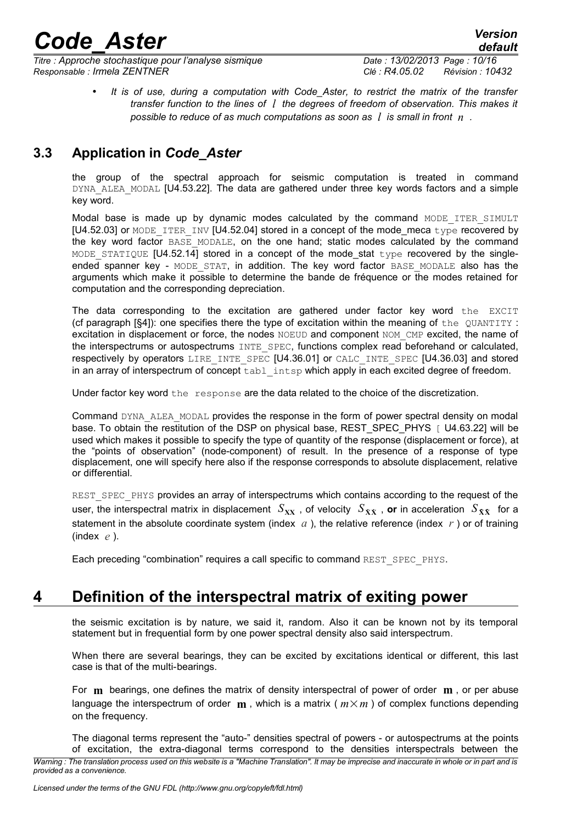*Titre : Approche stochastique pour l'analyse sismique Date : 13/02/2013 Page : 10/16 Responsable : Irmela ZENTNER Clé : R4.05.02 Révision : 10432*

• *It is of use, during a computation with Code\_Aster, to restrict the matrix of the transfer transfer function to the lines of l the degrees of freedom of observation. This makes it possible to reduce of as much computations as soon as l is small in front n .*

### **3.3 Application in** *Code\_Aster*

<span id="page-9-1"></span>the group of the spectral approach for seismic computation is treated in command DYNA ALEA MODAL [U4.53.22]. The data are gathered under three key words factors and a simple key word.

Modal base is made up by dynamic modes calculated by the command MODE ITER SIMULT  $[U4.52.03]$  or MODE\_ITER\_INV  $[U4.52.04]$  stored in a concept of the mode\_meca type recovered by the key word factor BASE MODALE, on the one hand; static modes calculated by the command MODE STATIQUE  $[U4.52.14]$  stored in a concept of the mode\_stat type recovered by the singleended spanner key - MODE STAT, in addition. The key word factor BASE MODALE also has the arguments which make it possible to determine the bande de fréquence or the modes retained for computation and the corresponding depreciation.

The data corresponding to the excitation are gathered under factor key word the EXCIT (cf paragraph  $[§4]$ ): one specifies there the type of excitation within the meaning of the QUANTITY : excitation in displacement or force, the nodes NOEUD and component NOM CMP excited, the name of the interspectrums or autospectrums INTE SPEC, functions complex read beforehand or calculated, respectively by operators LIRE\_INTE\_SPEC [U4.36.01] or CALC\_INTE\_SPEC [U4.36.03] and stored in an array of interspectrum of concept  $\text{tabl}$  intsp which apply in each excited degree of freedom.

Under factor key word the response are the data related to the choice of the discretization.

Command DYNA ALEA MODAL provides the response in the form of power spectral density on modal base. To obtain the restitution of the DSP on physical base, REST\_SPEC\_PHYS [ U4.63.22] will be used which makes it possible to specify the type of quantity of the response (displacement or force), at the "points of observation" (node-component) of result. In the presence of a response of type displacement, one will specify here also if the response corresponds to absolute displacement, relative or differential.

REST\_SPEC\_PHYS provides an array of interspectrums which contains according to the request of the user, the interspectral matrix in displacement  $S_{\bf XX}$  , of velocity  $S_{\bf XX}$  , or in acceleration  $S_{\bf XX}$  for a statement in the absolute coordinate system (index  $a$ ), the relative reference (index  $r$ ) or of training (index *e* ).

Each preceding "combination" requires a call specific to command REST SPEC PHYS.

### **4 Definition of the interspectral matrix of exiting power**

<span id="page-9-0"></span>the seismic excitation is by nature, we said it, random. Also it can be known not by its temporal statement but in frequential form by one power spectral density also said interspectrum.

When there are several bearings, they can be excited by excitations identical or different, this last case is that of the multi-bearings.

For **m** bearings, one defines the matrix of density interspectral of power of order **m** , or per abuse language the interspectrum of order  $\bf{m}$ , which is a matrix ( $m \times m$ ) of complex functions depending on the frequency.

The diagonal terms represent the "auto-" densities spectral of powers - or autospectrums at the points of excitation, the extra-diagonal terms correspond to the densities interspectrals between the

*Warning : The translation process used on this website is a "Machine Translation". It may be imprecise and inaccurate in whole or in part and is provided as a convenience.*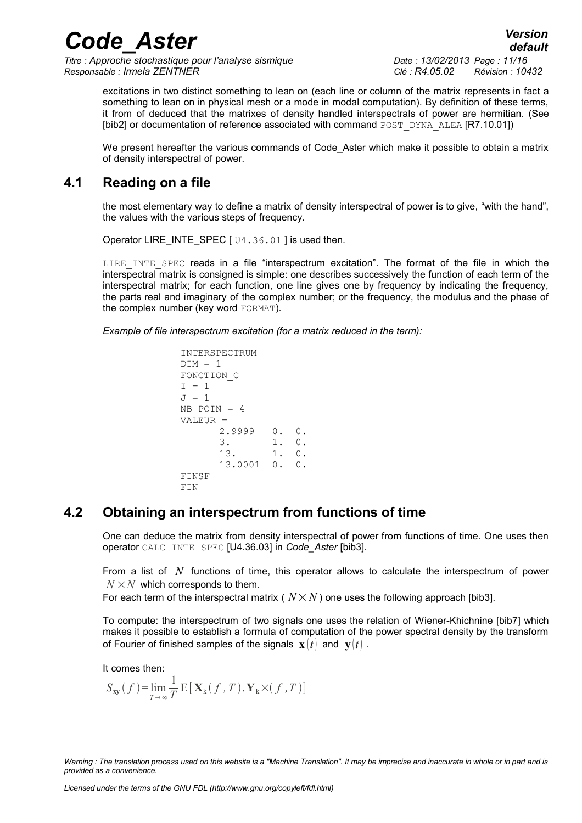*Titre : Approche stochastique pour l'analyse sismique Date : 13/02/2013 Page : 11/16 Responsable : Irmela ZENTNER Clé : R4.05.02 Révision : 10432*

*default*

excitations in two distinct something to lean on (each line or column of the matrix represents in fact a something to lean on in physical mesh or a mode in modal computation). By definition of these terms, it from of deduced that the matrixes of density handled interspectrals of power are hermitian. (See [bib2] or documentation of reference associated with command POST\_DYNA\_ALEA [R7.10.01])

*Code\_Aster Version*

We present hereafter the various commands of Code Aster which make it possible to obtain a matrix of density interspectral of power.

### **4.1 Reading on a file**

<span id="page-10-1"></span>the most elementary way to define a matrix of density interspectral of power is to give, "with the hand", the values with the various steps of frequency.

Operator LIRE\_INTE\_SPEC [  $U4.36.01$  ] is used then.

LIRE INTE SPEC reads in a file "interspectrum excitation". The format of the file in which the interspectral matrix is consigned is simple: one describes successively the function of each term of the interspectral matrix; for each function, one line gives one by frequency by indicating the frequency, the parts real and imaginary of the complex number; or the frequency, the modulus and the phase of the complex number (key word FORMAT).

*Example of file interspectrum excitation (for a matrix reduced in the term):*

```
INTERSPECTRUM
DIM = 1FONCTION_C
I = 1J = 1NB POIN = 4
VALEUR =
      2.9999 0. 0.
      3. 1. 0.
      13. 1. 0.
      13.0001 0. 0.
FINSF
FIN
```
### **4.2 Obtaining an interspectrum from functions of time**

<span id="page-10-0"></span>One can deduce the matrix from density interspectral of power from functions of time. One uses then operator CALC\_INTE\_SPEC [U4.36.03] in *Code\_Aster* [bib3].

From a list of *N* functions of time, this operator allows to calculate the interspectrum of power  $N \times N$  which corresponds to them.

For each term of the interspectral matrix ( $N \times N$ ) one uses the following approach [bib3].

To compute: the interspectrum of two signals one uses the relation of Wiener-Khichnine [bib7] which makes it possible to establish a formula of computation of the power spectral density by the transform of Fourier of finished samples of the signals  $\mathbf{x}$   $(t)$  and  $\mathbf{v}$  $(t)$ .

It comes then:

$$
S_{xy}(f) = \lim_{T \to \infty} \frac{1}{T} E[\mathbf{X}_{k}(f, T), \mathbf{Y}_{k} \times (f, T)]
$$

*Warning : The translation process used on this website is a "Machine Translation". It may be imprecise and inaccurate in whole or in part and is provided as a convenience.*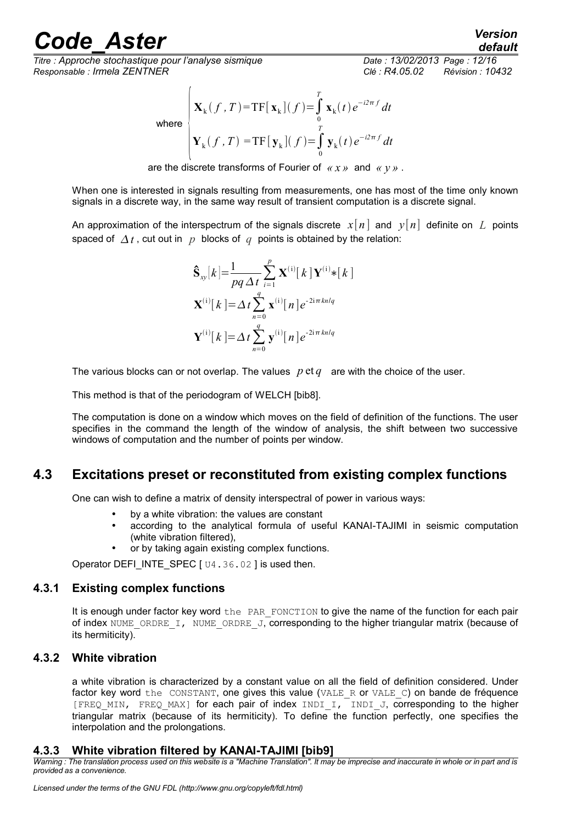*Titre : Approche stochastique pour l'analyse sismique Date : 13/02/2013 Page : 12/16 Responsable : Irmela ZENTNER Clé : R4.05.02 Révision : 10432*

where

$$
\mathbf{X}_{k}(f, T) = \mathbf{TF}[\mathbf{x}_{k}](f) = \int_{0}^{T} \mathbf{x}_{k}(t) e^{-i2\pi f} dt
$$
  

$$
\mathbf{Y}_{k}(f, T) = \mathbf{TF}[\mathbf{y}_{k}](f) = \int_{0}^{T} \mathbf{y}_{k}(t) e^{-i2\pi f} dt
$$

are the discrete transforms of Fourier of *« x »* and *« y »* .

When one is interested in signals resulting from measurements, one has most of the time only known signals in a discrete way, in the same way result of transient computation is a discrete signal.

An approximation of the interspectrum of the signals discrete  $x[n]$  and  $y[n]$  definite on L points spaced of  $\Delta t$ , cut out in p blocks of q points is obtained by the relation:

$$
\hat{\mathbf{S}}_{xy}[k] = \frac{1}{pq \Delta t} \sum_{i=1}^{p} \mathbf{X}^{(i)}[k] \mathbf{Y}^{(i)} * [k]
$$

$$
\mathbf{X}^{(i)}[k] = \Delta t \sum_{n=0}^{q} \mathbf{x}^{(i)}[n] e^{-2i\pi kn/q}
$$

$$
\mathbf{Y}^{(i)}[k] = \Delta t \sum_{n=0}^{q} \mathbf{y}^{(i)}[n] e^{-2i\pi kn/q}
$$

The various blocks can or not overlap. The values *p* et *q* are with the choice of the user.

This method is that of the periodogram of WELCH [bib8].

The computation is done on a window which moves on the field of definition of the functions. The user specifies in the command the length of the window of analysis, the shift between two successive windows of computation and the number of points per window.

### **4.3 Excitations preset or reconstituted from existing complex functions**

<span id="page-11-3"></span>One can wish to define a matrix of density interspectral of power in various ways:

- by a white vibration: the values are constant
- according to the analytical formula of useful KANAI-TAJIMI in seismic computation (white vibration filtered),
- or by taking again existing complex functions.

<span id="page-11-2"></span>Operator DEFI\_INTE\_SPEC [ U4.36.02 ] is used then.

### **4.3.1 Existing complex functions**

It is enough under factor key word the PAR FONCTION to give the name of the function for each pair of index NUME\_ORDRE\_I, NUME\_ORDRE\_J, corresponding to the higher triangular matrix (because of its hermiticity).

### **4.3.2 White vibration**

<span id="page-11-1"></span>a white vibration is characterized by a constant value on all the field of definition considered. Under factor key word the CONSTANT, one gives this value (VALE\_R or VALE\_C) on bande de fréquence [FREQ\_MIN, FREQ\_MAX] for each pair of index INDI\_I, INDI\_J, corresponding to the higher triangular matrix (because of its hermiticity). To define the function perfectly, one specifies the interpolation and the prolongations.

### <span id="page-11-0"></span>**4.3.3 White vibration filtered by KANAI-TAJIMI [bib9]**

*Warning : The translation process used on this website is a "Machine Translation". It may be imprecise and inaccurate in whole or in part and is provided as a convenience.*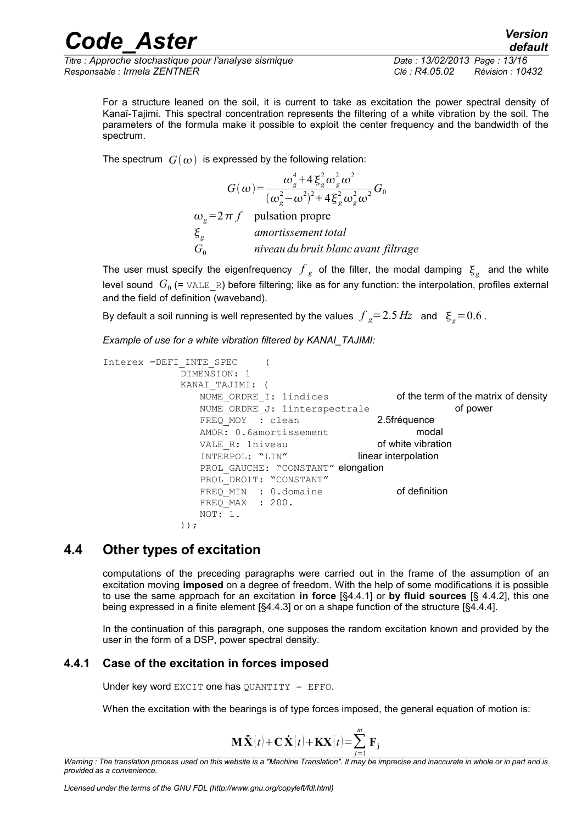*Titre : Approche stochastique pour l'analyse sismique Date : 13/02/2013 Page : 13/16 Responsable : Irmela ZENTNER Clé : R4.05.02 Révision : 10432*

For a structure leaned on the soil, it is current to take as excitation the power spectral density of Kanaï-Tajimi. This spectral concentration represents the filtering of a white vibration by the soil. The parameters of the formula make it possible to exploit the center frequency and the bandwidth of the spectrum.

The spectrum  $G(\omega)$  is expressed by the following relation:

$$
G(\omega) = \frac{\omega_g^4 + 4 \xi_g^2 \omega_g^2 \omega^2}{(\omega_g^2 - \omega^2)^2 + 4 \xi_g^2 \omega_g^2 \omega^2} G_0
$$
  

$$
\omega_g = 2 \pi f \quad \text{pulsation proper}
$$
  

$$
\xi_g \quad \text{amortissement total}
$$
  

$$
G_0 \quad \text{niveau du bruit blanc avant filtrage}
$$

The user must specify the eigenfrequency  $\int_{g}$  of the filter, the modal damping  $\zeta_{g}^{\,}$  and the white level sound  $\,G_0$  (=  $\texttt{VALE\_R}$ ) before filtering; like as for any function: the interpolation, profiles external and the field of definition (waveband).

By default a soil running is well represented by the values  $\left. f\right. _{g}{=}\,2.5\,Hz\right.$  and  $\left. \right. \left. \xi_{g}{=}\,0.6$  .

*Example of use for a white vibration filtered by KANAI\_TAJIMI:*

```
Interex =DEFI_INTE_SPEC (
           DIMENSION: 1
           KANAI_TAJIMI: (
              NUME ORDRE I: 1indices of the term of the matrix of density
              NUME ORDRE J: 1interspectrale of power
              FREQ MOY : clean 2.5fréquence
              AMOR: 0.6amortissement modal
              VALE R: 1niveau of white vibration
              INTERPOL: "LIN" linear interpolation
              PROL GAUCHE: "CONSTANT" elongation
              PROL_DROIT: "CONSTANT"
              FREQ MIN : 0.domaine of definition
              FREQ MAX : 200.
              NOT:<sup>-1.</sup>
```
));

### **4.4 Other types of excitation**

<span id="page-12-1"></span>computations of the preceding paragraphs were carried out in the frame of the assumption of an excitation moving **imposed** on a degree of freedom. With the help of some modifications it is possible to use the same approach for an excitation **in force** [§4.4.1] or **by fluid sources** [§ 4.4.2], this one being expressed in a finite element [§4.4.3] or on a shape function of the structure [§4.4.4].

In the continuation of this paragraph, one supposes the random excitation known and provided by the user in the form of a DSP, power spectral density.

### **4.4.1 Case of the excitation in forces imposed**

<span id="page-12-0"></span>Under key word EXCIT one has QUANTITY = EFFO.

When the excitation with the bearings is of type forces imposed, the general equation of motion is:

$$
\mathbf{M}\ddot{\mathbf{X}}(t) + \mathbf{C}\dot{\mathbf{X}}(t) + \mathbf{K}\mathbf{X}(t) = \sum_{j=1}^{m} \mathbf{F}_{j}
$$

*Warning : The translation process used on this website is a "Machine Translation". It may be imprecise and inaccurate in whole or in part and is provided as a convenience.*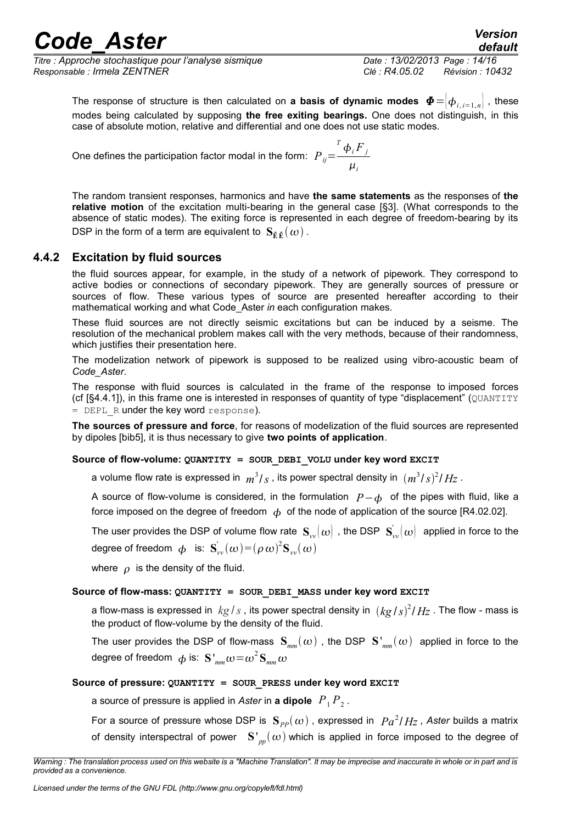*Titre : Approche stochastique pour l'analyse sismique Date : 13/02/2013 Page : 14/16 Responsable : Irmela ZENTNER Clé : R4.05.02 Révision : 10432*

*default*

The response of structure is then calculated on **a basis of dynamic modes**  $\Phi = \phi_{i,i=1,n}$ , these modes being calculated by supposing **the free exiting bearings.** One does not distinguish, in this case of absolute motion, relative and differential and one does not use static modes.

One defines the participation factor modal in the form:  $P_{ij}$ =  $T \phi_i F_j$  $\mu$ <sub>*i*</sub>

The random transient responses, harmonics and have **the same statements** as the responses of **the relative motion** of the excitation multi-bearing in the general case [§3]. (What corresponds to the absence of static modes). The exiting force is represented in each degree of freedom-bearing by its DSP in the form of a term are equivalent to  $\mathbf{S}_{\mathbf{E}\cdot\mathbf{E}}(\omega)$ .

### **4.4.2 Excitation by fluid sources**

<span id="page-13-0"></span>the fluid sources appear, for example, in the study of a network of pipework. They correspond to active bodies or connections of secondary pipework. They are generally sources of pressure or sources of flow. These various types of source are presented hereafter according to their mathematical working and what Code Aster *in* each configuration makes.

These fluid sources are not directly seismic excitations but can be induced by a seisme. The resolution of the mechanical problem makes call with the very methods, because of their randomness, which justifies their presentation here.

The modelization network of pipework is supposed to be realized using vibro-acoustic beam of *Code\_Aster*.

The response with fluid sources is calculated in the frame of the response to imposed forces (cf  $[§4.4.1]$ ), in this frame one is interested in responses of quantity of type "displacement" ( $\textcircled{u}\text{ANTITY}$ = DEPL R under the key word response).

**The sources of pressure and force**, for reasons of modelization of the fluid sources are represented by dipoles [bib5], it is thus necessary to give **two points of application**.

#### **Source of flow-volume: QUANTITY = SOUR\_DEBI\_VOLU under key word EXCIT**

a volume flow rate is expressed in  $m^3/s$  , its power spectral density in  $\, (m^3/s)^2/Hz \,$  .

A source of flow-volume is considered, in the formulation  $P-\phi$  of the pipes with fluid, like a force imposed on the degree of freedom  $\phi$  of the node of application of the source [R4.02.02].

The user provides the DSP of volume flow rate  $\|{\bf S}_{vv}(\omega)\|$  , the DSP  $\|{\bf S}_{vv}^\|(\omega)\|$  applied in force to the degree of freedom  $\phi$  is:  $\mathbf{S}^{'}_{vv}(\omega) \!=\! (\rho \, \omega)^2 \mathbf{S}_{vv}(\omega)$ 

where  $\rho$  is the density of the fluid.

#### **Source of flow-mass: QUANTITY = SOUR\_DEBI\_MASS under key word EXCIT**

a flow-mass is expressed in  $\; kg\,/\,s$  , its power spectral density in  $\; (kg\,/\,s)^2/\,Hz$  . The flow - mass is the product of flow-volume by the density of the fluid.

The user provides the DSP of flow-mass  $S_{mn}(\omega)$ , the DSP  $S'_{mn}(\omega)$  applied in force to the degree of freedom  $\,\phi$  is:  $\,\mathbf{S}\,'_{\mathit{mm}}\omega\!=\!\omega^2\,\mathbf{S}_{\mathit{mm}}\omega$ 

#### **Source of pressure: QUANTITY = SOUR\_PRESS under key word EXCIT**

a source of pressure is applied in *Aster* in **a dipole**  $\left. P_+ P_2 \right.$ 

For a source of pressure whose DSP is  $\, {\bf S}_{PP}(\omega)$  , expressed in  $\, {Pa}^2/Hz$  , Aster builds a matrix of density interspectral of power  $S'_{pp}(\omega)$  which is applied in force imposed to the degree of

*Warning : The translation process used on this website is a "Machine Translation". It may be imprecise and inaccurate in whole or in part and is provided as a convenience.*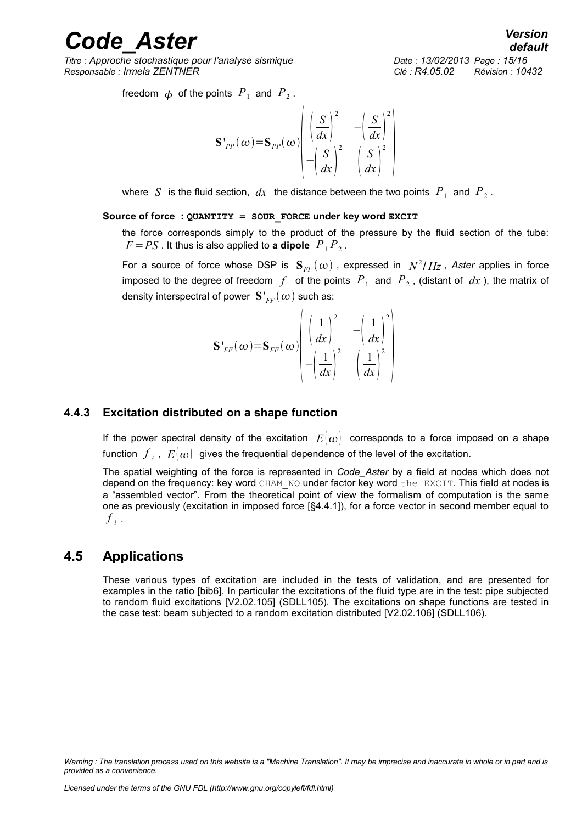*Titre : Approche stochastique pour l'analyse sismique Date : 13/02/2013 Page : 15/16 Responsable : Irmela ZENTNER Clé : R4.05.02 Révision : 10432*

*default*

freedom  $\phi$  of the points  $\overline{P}_1$  and  $\overline{P}_2$ .

$$
\mathbf{S'}_{PP}(\omega) = \mathbf{S}_{PP}(\omega) \begin{bmatrix} \left(\frac{S}{dx}\right)^2 & -\left(\frac{S}{dx}\right)^2\\ -\left(\frac{S}{dx}\right)^2 & \left(\frac{S}{dx}\right)^2 \end{bmatrix}
$$

where  $|S|$  is the fluid section,  $dx$  the distance between the two points  $|P|_1$  and  $|P|_2$ .

#### **Source of force : QUANTITY = SOUR\_FORCE under key word EXCIT**

the force corresponds simply to the product of the pressure by the fluid section of the tube:  $F = PS$  . It thus is also applied to **a dipole**  $P_1 P_2$ .

For a source of force whose DSP is  $\mathbf{S}_{FF}(\omega)$  , expressed in  $\;N^2/Hz$  , Aster applies in force imposed to the degree of freedom  $f$  of the points  $\overline{P}_1$  and  $\overline{P}_2$ , (distant of  $\overline{dx}$  ), the matrix of density interspectral of power  ${\bf S'}_{FF}(\omega)$  such as:

$$
\mathbf{S'}_{FF}(\boldsymbol{\omega})\!=\!\mathbf{S}_{FF}(\boldsymbol{\omega})\!\left(\frac{\left(\frac{1}{dx}\right)^2}{-\!\left(\frac{1}{dx}\right)^2}-\!\left(\frac{1}{\frac{1}{dx}}\right)^2\right)
$$

#### **4.4.3 Excitation distributed on a shape function**

<span id="page-14-1"></span>If the power spectral density of the excitation  $E(\omega)$  corresponds to a force imposed on a shape function  $\left. f \right|_{i}$  ,  $\left. E(\omega) \right|$  gives the frequential dependence of the level of the excitation.

The spatial weighting of the force is represented in *Code\_Aster* by a field at nodes which does not depend on the frequency: key word CHAM\_NO under factor key word the EXCIT. This field at nodes is a "assembled vector". From the theoretical point of view the formalism of computation is the same one as previously (excitation in imposed force [§4.4.1]), for a force vector in second member equal to  $f_{i}$ .

### **4.5 Applications**

<span id="page-14-0"></span>These various types of excitation are included in the tests of validation, and are presented for examples in the ratio [bib6]. In particular the excitations of the fluid type are in the test: pipe subjected to random fluid excitations [V2.02.105] (SDLL105). The excitations on shape functions are tested in the case test: beam subjected to a random excitation distributed [V2.02.106] (SDLL106).

*Warning : The translation process used on this website is a "Machine Translation". It may be imprecise and inaccurate in whole or in part and is provided as a convenience.*